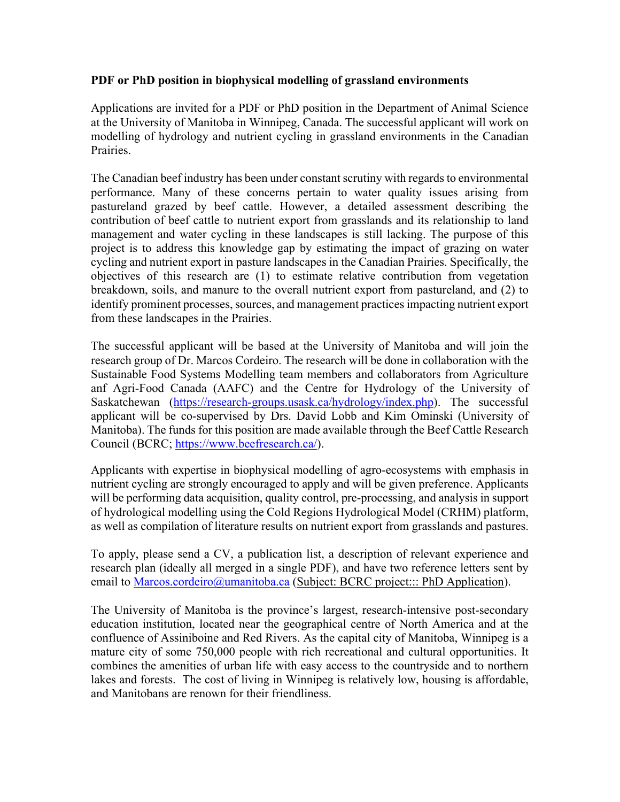## **PDF or PhD position in biophysical modelling of grassland environments**

Applications are invited for a PDF or PhD position in the Department of Animal Science at the University of Manitoba in Winnipeg, Canada. The successful applicant will work on modelling of hydrology and nutrient cycling in grassland environments in the Canadian Prairies.

The Canadian beef industry has been under constant scrutiny with regards to environmental performance. Many of these concerns pertain to water quality issues arising from pastureland grazed by beef cattle. However, a detailed assessment describing the contribution of beef cattle to nutrient export from grasslands and its relationship to land management and water cycling in these landscapes is still lacking. The purpose of this project is to address this knowledge gap by estimating the impact of grazing on water cycling and nutrient export in pasture landscapes in the Canadian Prairies. Specifically, the objectives of this research are (1) to estimate relative contribution from vegetation breakdown, soils, and manure to the overall nutrient export from pastureland, and (2) to identify prominent processes, sources, and management practices impacting nutrient export from these landscapes in the Prairies.

The successful applicant will be based at the University of Manitoba and will join the research group of Dr. Marcos Cordeiro. The research will be done in collaboration with the Sustainable Food Systems Modelling team members and collaborators from Agriculture anf Agri-Food Canada (AAFC) and the Centre for Hydrology of the University of Saskatchewan [\(https://research-groups.usask.ca/hydrology/index.php\)](https://research-groups.usask.ca/hydrology/index.php). The successful applicant will be co-supervised by Drs. David Lobb and Kim Ominski (University of Manitoba). The funds for this position are made available through the Beef Cattle Research Council (BCRC; [https://www.beefresearch.ca/\)](https://www.beefresearch.ca/).

Applicants with expertise in biophysical modelling of agro-ecosystems with emphasis in nutrient cycling are strongly encouraged to apply and will be given preference. Applicants will be performing data acquisition, quality control, pre-processing, and analysis in support of hydrological modelling using the Cold Regions Hydrological Model (CRHM) platform, as well as compilation of literature results on nutrient export from grasslands and pastures.

To apply, please send a CV, a publication list, a description of relevant experience and research plan (ideally all merged in a single PDF), and have two reference letters sent by email to [Marcos.cordeiro@umanitoba.ca](mailto:Marcos.cordeiro@umanitoba.ca) (Subject: BCRC project::: PhD Application).

The University of Manitoba is the province's largest, research-intensive post-secondary education institution, located near the geographical centre of North America and at the confluence of Assiniboine and Red Rivers. As the capital city of Manitoba, Winnipeg is a mature city of some 750,000 people with rich recreational and cultural opportunities. It combines the amenities of urban life with easy access to the countryside and to northern lakes and forests. The cost of living in Winnipeg is relatively low, housing is affordable, and Manitobans are renown for their friendliness.